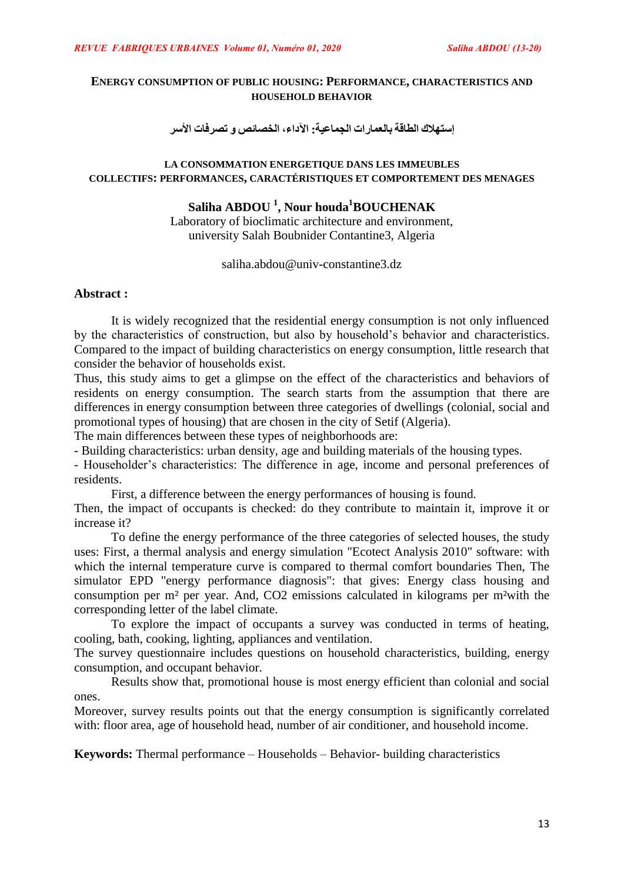# **ENERGY CONSUMPTION OF PUBLIC HOUSING: PERFORMANCE, CHARACTERISTICS AND HOUSEHOLD BEHAVIOR**

**إستهالك الطاقة بالعمارات الجماعية: اآلداء، الخصائص و تصرفات األسر** 

### **LA CONSOMMATION ENERGETIQUE DANS LES IMMEUBLES COLLECTIFS: PERFORMANCES, CARACTÉRISTIQUES ET COMPORTEMENT DES MENAGES**

# **Saliha ABDOU <sup>1</sup> , Nour houda<sup>1</sup>BOUCHENAK**

Laboratory of bioclimatic architecture and environment, university Salah Boubnider Contantine3, Algeria

[saliha.abdou@univ-constantine3.dz](mailto:saliha.abdou@univ-constantine3.dz) 

#### **Abstract :**

It is widely recognized that the residential energy consumption is not only influenced by the characteristics of construction, but also by household's behavior and characteristics. Compared to the impact of building characteristics on energy consumption, little research that consider the behavior of households exist.

Thus, this study aims to get a glimpse on the effect of the characteristics and behaviors of residents on energy consumption. The search starts from the assumption that there are differences in energy consumption between three categories of dwellings (colonial, social and promotional types of housing) that are chosen in the city of Setif (Algeria).

The main differences between these types of neighborhoods are:

- Building characteristics: urban density, age and building materials of the housing types.

- Householder's characteristics: The difference in age, income and personal preferences of residents.

First, a difference between the energy performances of housing is found.

Then, the impact of occupants is checked: do they contribute to maintain it, improve it or increase it?

To define the energy performance of the three categories of selected houses, the study uses: First, a thermal analysis and energy simulation "Ecotect Analysis 2010" software: with which the internal temperature curve is compared to thermal comfort boundaries Then, The simulator EPD "energy performance diagnosis": that gives: Energy class housing and consumption per m² per year. And, CO2 emissions calculated in kilograms per m²with the corresponding letter of the label climate.

To explore the impact of occupants a survey was conducted in terms of heating, cooling, bath, cooking, lighting, appliances and ventilation.

The survey questionnaire includes questions on household characteristics, building, energy consumption, and occupant behavior.

Results show that, promotional house is most energy efficient than colonial and social ones.

Moreover, survey results points out that the energy consumption is significantly correlated with: floor area, age of household head, number of air conditioner, and household income.

**Keywords:** Thermal performance – Households – Behavior- building characteristics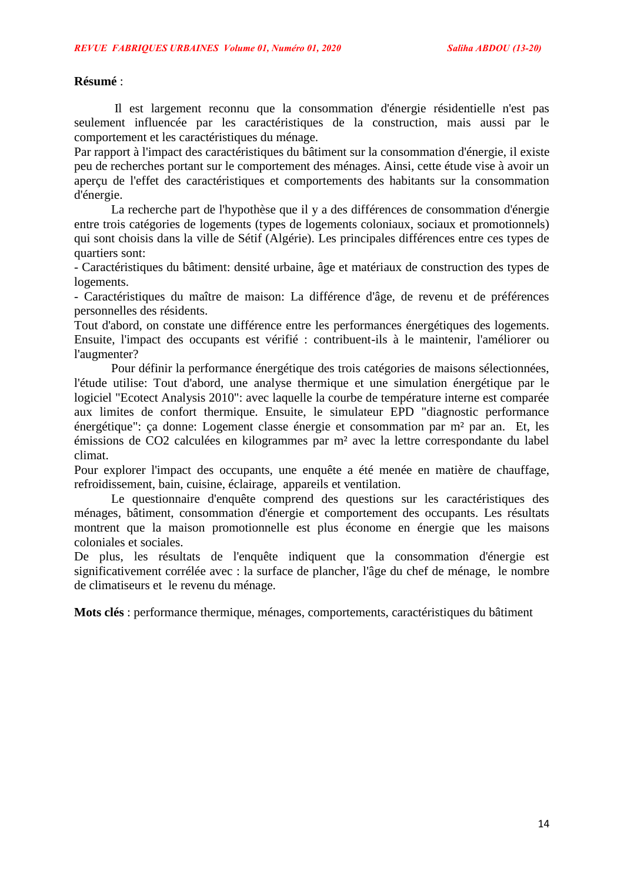#### **Résumé** :

Il est largement reconnu que la consommation d'énergie résidentielle n'est pas seulement influencée par les caractéristiques de la construction, mais aussi par le comportement et les caractéristiques du ménage.

Par rapport à l'impact des caractéristiques du bâtiment sur la consommation d'énergie, il existe peu de recherches portant sur le comportement des ménages. Ainsi, cette étude vise à avoir un aperçu de l'effet des caractéristiques et comportements des habitants sur la consommation d'énergie.

La recherche part de l'hypothèse que il y a des différences de consommation d'énergie entre trois catégories de logements (types de logements coloniaux, sociaux et promotionnels) qui sont choisis dans la ville de Sétif (Algérie). Les principales différences entre ces types de quartiers sont:

- Caractéristiques du bâtiment: densité urbaine, âge et matériaux de construction des types de logements.

- Caractéristiques du maître de maison: La différence d'âge, de revenu et de préférences personnelles des résidents.

Tout d'abord, on constate une différence entre les performances énergétiques des logements. Ensuite, l'impact des occupants est vérifié : contribuent-ils à le maintenir, l'améliorer ou l'augmenter?

Pour définir la performance énergétique des trois catégories de maisons sélectionnées, l'étude utilise: Tout d'abord, une analyse thermique et une simulation énergétique par le logiciel "Ecotect Analysis 2010": avec laquelle la courbe de température interne est comparée aux limites de confort thermique. Ensuite, le simulateur EPD "diagnostic performance énergétique": ça donne: Logement classe énergie et consommation par m² par an. Et, les émissions de CO2 calculées en kilogrammes par m² avec la lettre correspondante du label climat.

Pour explorer l'impact des occupants, une enquête a été menée en matière de chauffage, refroidissement, bain, cuisine, éclairage, appareils et ventilation.

Le questionnaire d'enquête comprend des questions sur les caractéristiques des ménages, bâtiment, consommation d'énergie et comportement des occupants. Les résultats montrent que la maison promotionnelle est plus économe en énergie que les maisons coloniales et sociales.

De plus, les résultats de l'enquête indiquent que la consommation d'énergie est significativement corrélée avec : la surface de plancher, l'âge du chef de ménage, le nombre de climatiseurs et le revenu du ménage.

**Mots clés** : performance thermique, ménages, comportements, caractéristiques du bâtiment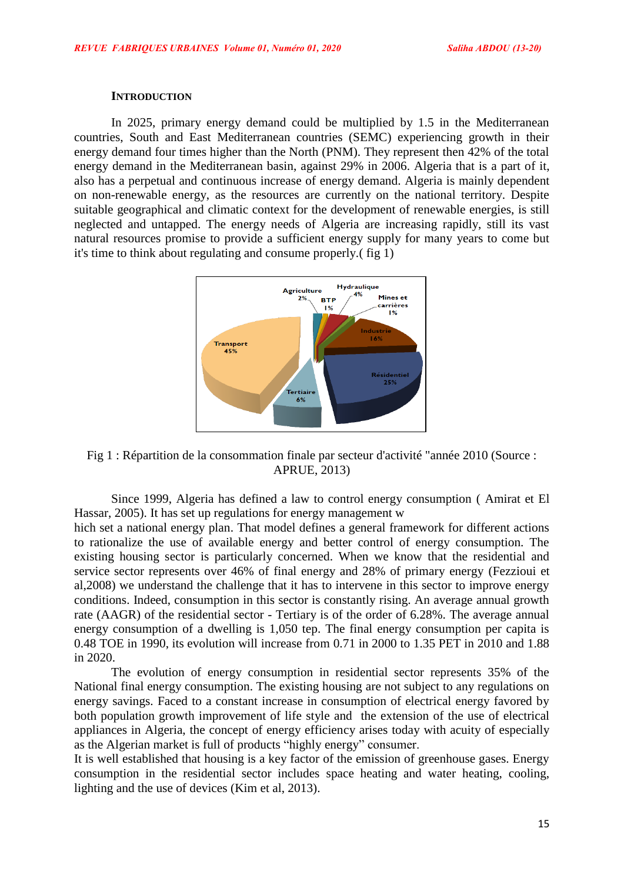#### **INTRODUCTION**

In 2025, primary energy demand could be multiplied by 1.5 in the Mediterranean countries, South and East Mediterranean countries (SEMC) experiencing growth in their energy demand four times higher than the North (PNM). They represent then 42% of the total energy demand in the Mediterranean basin, against 29% in 2006. Algeria that is a part of it, also has a perpetual and continuous increase of energy demand. Algeria is mainly dependent on non-renewable energy, as the resources are currently on the national territory. Despite suitable geographical and climatic context for the development of renewable energies, is still neglected and untapped. The energy needs of Algeria are increasing rapidly, still its vast natural resources promise to provide a sufficient energy supply for many years to come but it's time to think about regulating and consume properly.( fig 1)



Fig 1 : Répartition de la consommation finale par secteur d'activité "année 2010 (Source : APRUE, 2013)

Since 1999, Algeria has defined a law to control energy consumption ( Amirat et El Hassar, 2005). It has set up regulations for energy management w

hich set a national energy plan. That model defines a general framework for different actions to rationalize the use of available energy and better control of energy consumption. The existing housing sector is particularly concerned. When we know that the residential and service sector represents over 46% of final energy and 28% of primary energy (Fezzioui et al,2008) we understand the challenge that it has to intervene in this sector to improve energy conditions. Indeed, consumption in this sector is constantly rising. An average annual growth rate (AAGR) of the residential sector - Tertiary is of the order of 6.28%. The average annual energy consumption of a dwelling is 1,050 tep. The final energy consumption per capita is 0.48 TOE in 1990, its evolution will increase from 0.71 in 2000 to 1.35 PET in 2010 and 1.88 in 2020.

The evolution of energy consumption in residential sector represents 35% of the National final energy consumption. The existing housing are not subject to any regulations on energy savings. Faced to a constant increase in consumption of electrical energy favored by both population growth improvement of life style and the extension of the use of electrical appliances in Algeria, the concept of energy efficiency arises today with acuity of especially as the Algerian market is full of products "highly energy" consumer.

It is well established that housing is a key factor of the emission of greenhouse gases. Energy consumption in the residential sector includes space heating and water heating, cooling, lighting and the use of devices (Kim et al, 2013).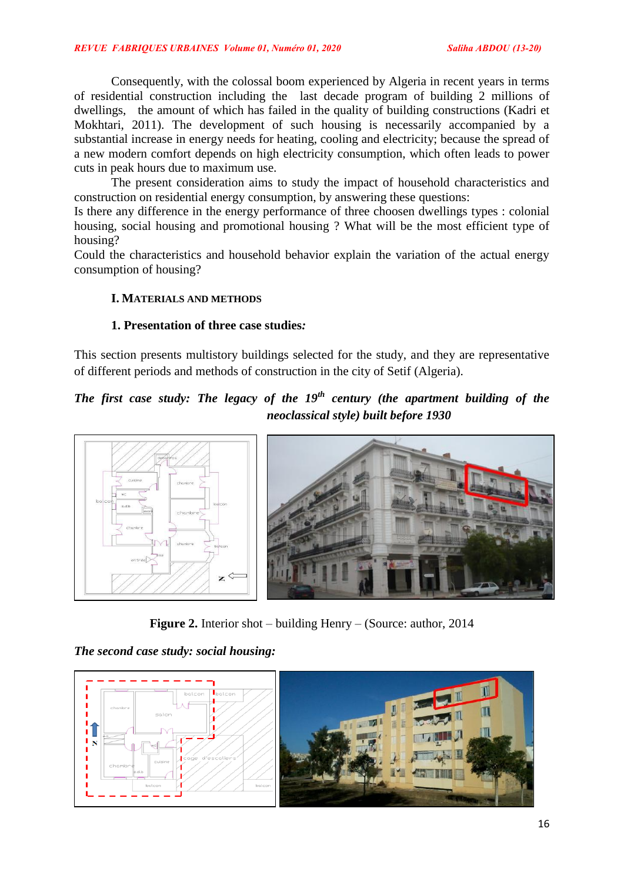Consequently, with the colossal boom experienced by Algeria in recent years in terms of residential construction including the last decade program of building 2 millions of dwellings, the amount of which has failed in the quality of building constructions (Kadri et Mokhtari, 2011). The development of such housing is necessarily accompanied by a substantial increase in energy needs for heating, cooling and electricity; because the spread of a new modern comfort depends on high electricity consumption, which often leads to power cuts in peak hours due to maximum use.

The present consideration aims to study the impact of household characteristics and construction on residential energy consumption, by answering these questions:

Is there any difference in the energy performance of three choosen dwellings types : colonial housing, social housing and promotional housing ? What will be the most efficient type of housing?

Could the characteristics and household behavior explain the variation of the actual energy consumption of housing?

### **I. MATERIALS AND METHODS**

#### **1. Presentation of three case studies***:*

This section presents multistory buildings selected for the study, and they are representative of different periods and methods of construction in the city of Setif (Algeria).

# *The first case study: The legacy of the 19th century (the apartment building of the neoclassical style) built before 1930*



**Figure 2.** Interior shot – building Henry – (Source: author, 2014)

*The second case study: social housing:* 

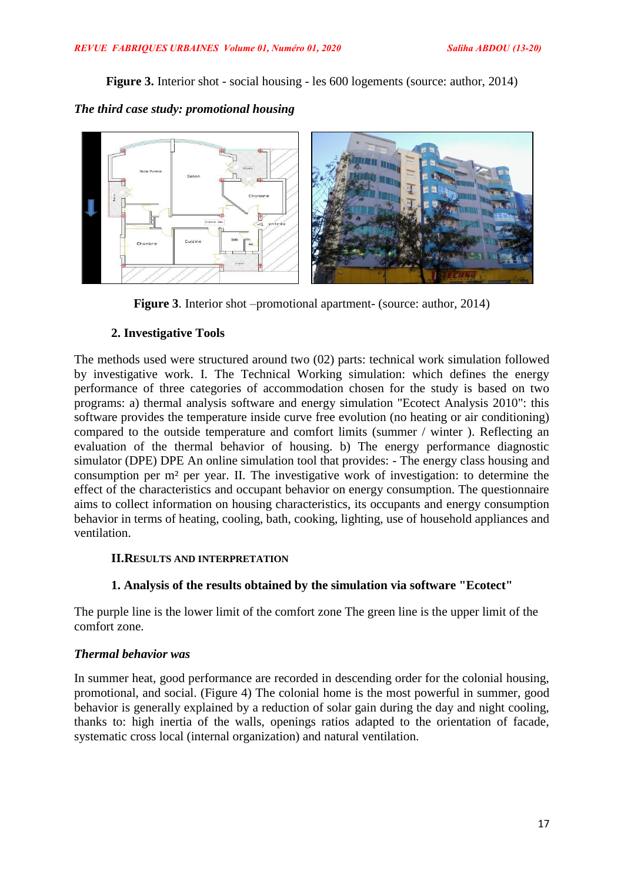**Figure 3.** Interior shot - social housing - les 600 logements (source: author, 2014)





**Figure 3.** Interior shot –promotional apartment- (source: author, 2014)

# **2. Investigative Tools**

The methods used were structured around two (02) parts: technical work simulation followed by investigative work. I. The Technical Working simulation: which defines the energy performance of three categories of accommodation chosen for the study is based on two programs: a) thermal analysis software and energy simulation "Ecotect Analysis 2010": this software provides the temperature inside curve free evolution (no heating or air conditioning) compared to the outside temperature and comfort limits (summer / winter ). Reflecting an evaluation of the thermal behavior of housing. b) The energy performance diagnostic simulator (DPE) DPE An online simulation tool that provides: - The energy class housing and consumption per m² per year. II. The investigative work of investigation: to determine the effect of the characteristics and occupant behavior on energy consumption. The questionnaire aims to collect information on housing characteristics, its occupants and energy consumption behavior in terms of heating, cooling, bath, cooking, lighting, use of household appliances and ventilation.

# **II.RESULTS AND INTERPRETATION**

# **1. Analysis of the results obtained by the simulation via software "Ecotect"**

The purple line is the lower limit of the comfort zone The green line is the upper limit of the comfort zone.

# *Thermal behavior was*

In summer heat, good performance are recorded in descending order for the colonial housing, promotional, and social. (Figure 4) The colonial home is the most powerful in summer, good behavior is generally explained by a reduction of solar gain during the day and night cooling, thanks to: high inertia of the walls, openings ratios adapted to the orientation of facade, systematic cross local (internal organization) and natural ventilation.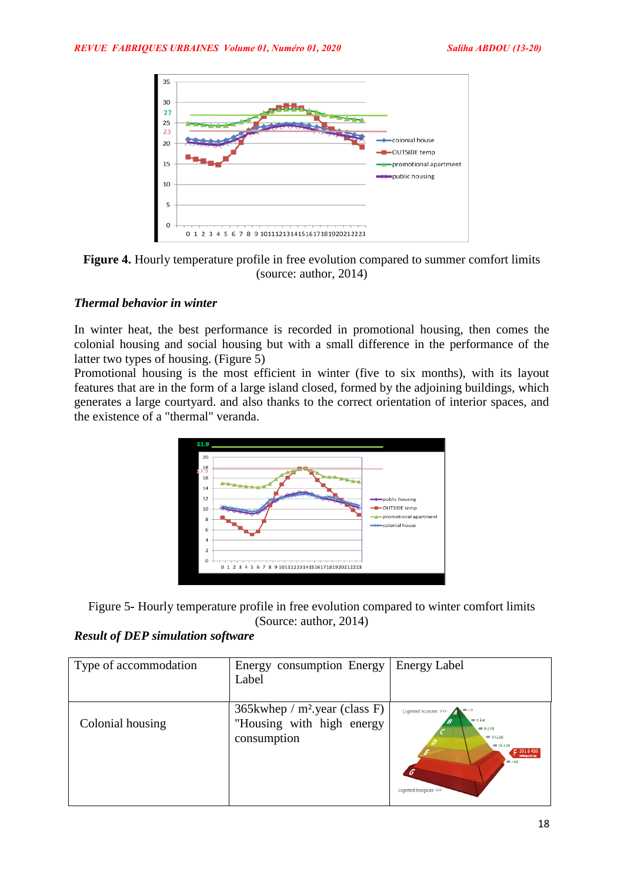



#### *Thermal behavior in winter*

In winter heat, the best performance is recorded in promotional housing, then comes the colonial housing and social housing but with a small difference in the performance of the latter two types of housing. (Figure 5)

Promotional housing is the most efficient in winter (five to six months), with its layout features that are in the form of a large island closed, formed by the adjoining buildings, which generates a large courtyard. and also thanks to the correct orientation of interior spaces, and the existence of a "thermal" veranda.



Figure 5**-** Hourly temperature profile in free evolution compared to winter comfort limits (Source: author, 2014)

# *Result of DEP simulation software*

| Type of accommodation | Energy consumption Energy<br>Label                                                       | <b>Energy Label</b>                                                                                                                                            |
|-----------------------|------------------------------------------------------------------------------------------|----------------------------------------------------------------------------------------------------------------------------------------------------------------|
| Colonial housing      | $365$ kwhep / m <sup>2</sup> .year (class F)<br>"Housing with high energy<br>consumption | Logement économe >>><br>$\equiv$ <51<br>$= 51300$<br>● 91 \$ 150<br>$= 1513230$<br>$= 231\frac{1}{2}330$<br>$7331$ à 450<br>$= 150$<br>Logement énergivore >>> |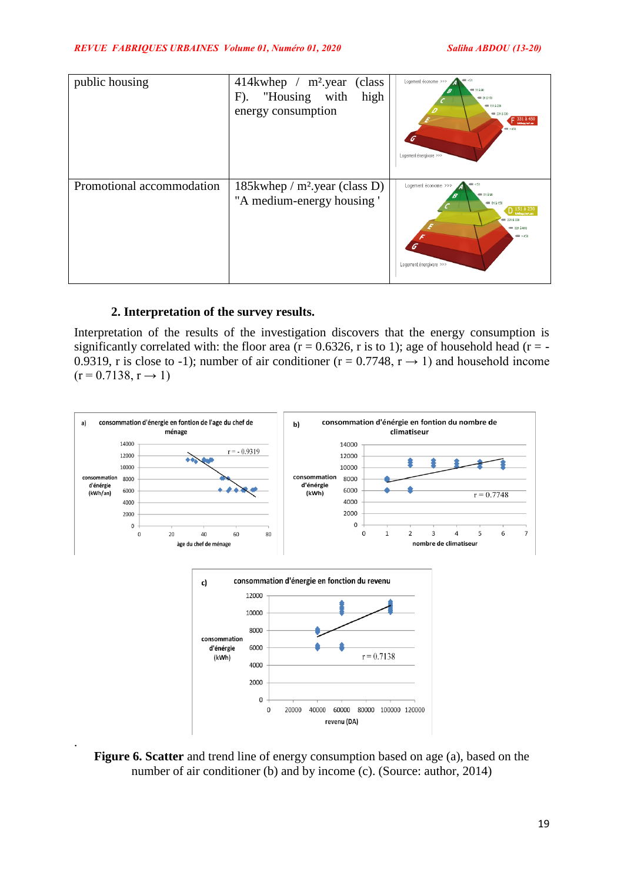| public housing            | 414kwhep / m <sup>2</sup> .year (class<br>"Housing with<br>high<br>$F$ ).<br>energy consumption | $= 51$<br>Logement économe >>><br>$= 51300$<br>● 91 % 150<br>$= 151 \pm 230$<br>$= 231\pm330$<br>$\Box$ 331 à 450<br>$\implies 450$<br>Logement énergivore >>>                                        |
|---------------------------|-------------------------------------------------------------------------------------------------|-------------------------------------------------------------------------------------------------------------------------------------------------------------------------------------------------------|
| Promotional accommodation | 185kwhep / m <sup>2</sup> .year (class D)<br>"A medium-energy housing '                         | $\approx$ <51<br>Logement économe >>><br>$= 51380$<br>@ 01 \$ 150<br>151 à 23<br>kWhep/m <sup>3</sup> .as<br>$= 231\pm330$<br>$= 331 \frac{1}{9} 450$<br>$\leftarrow$ >450<br>Logement énergivore >>> |

# **2. Interpretation of the survey results.**

Interpretation of the results of the investigation discovers that the energy consumption is significantly correlated with: the floor area  $(r = 0.6326, r$  is to 1); age of household head  $(r = -1.6326, r = 1.6326)$ 0.9319, r is close to -1); number of air conditioner ( $r = 0.7748$ ,  $r \rightarrow 1$ ) and household income  $(r = 0.7138, r \rightarrow 1)$ 



**Figure 6. Scatter** and trend line of energy consumption based on age (a), based on the number of air conditioner (b) and by income (c). (Source: author, 2014)